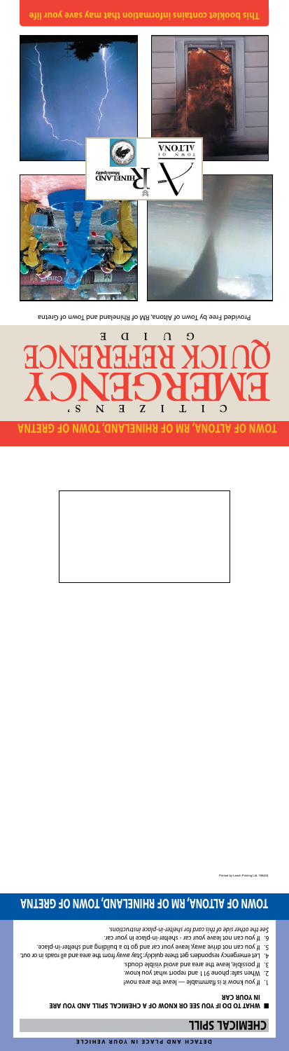

## **TOMN OF ALTONA, RM OF RHINELAND, TOWN OF GRETNA**



**This booklet contains information that may save your life**

### **CHEWICVT 2bILL**

#### **MHAT TO DO IF YOU SEE OR KNOW OF A CHEMICAL SPILL AND YOU ARE IN YOUR CAR**

Provided Free by Town of Altona, RM of Rhineland and Town of Gretna



- Iwon sens edt eveel eldsmmahl zi ti wons uoy 1! . I
- When safe: phone 911 and report what you know. 2.
- If possible, leave the area and avoid visible clouds. 3.
- Let emergency responders get there quickly: Stay away from the area and all roads in or out. 4.
- If you can not drive away, leave your car and go to a building and shelter-in-place. 5.
- If you can not leave your car shelter-in-place in your car. 6.

*See the other side of this card for shelter-in-place instructions.*

## **TOWN OF ALTONA, RM OF RHINELAND, TOWN OF GRETNA**

d by Leech Printing Ltd. 166450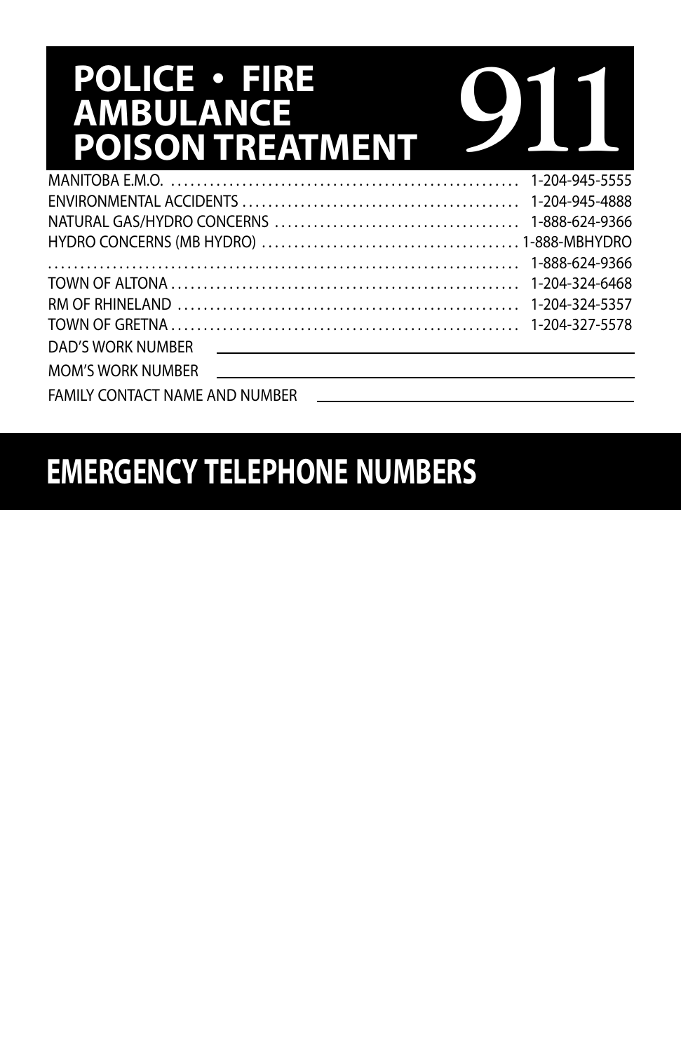# **POLICE • FIRE AMBULANCE POISON TREATMENT**

| <b>POLICE • FIRE</b><br>AMBULANCE<br><b>POISON TREATMENT</b>                                                                                   |                |
|------------------------------------------------------------------------------------------------------------------------------------------------|----------------|
|                                                                                                                                                | 1-204-945-5555 |
|                                                                                                                                                | 1-204-945-4888 |
|                                                                                                                                                | 1-888-624-9366 |
|                                                                                                                                                |                |
|                                                                                                                                                | 1-888-624-9366 |
|                                                                                                                                                | 1-204-324-6468 |
|                                                                                                                                                | 1-204-324-5357 |
|                                                                                                                                                |                |
| DAD'S WORK NUMBER                                                                                                                              |                |
| <b>MOM'S WORK NUMBER</b><br><u>and the contract of the contract of the contract of the contract of the contract of the contract of the con</u> |                |
| FAMILY CONTACT NAME AND NUMBER                                                                                                                 |                |

# **EMERGENCY TELEPHONE NUMBERS**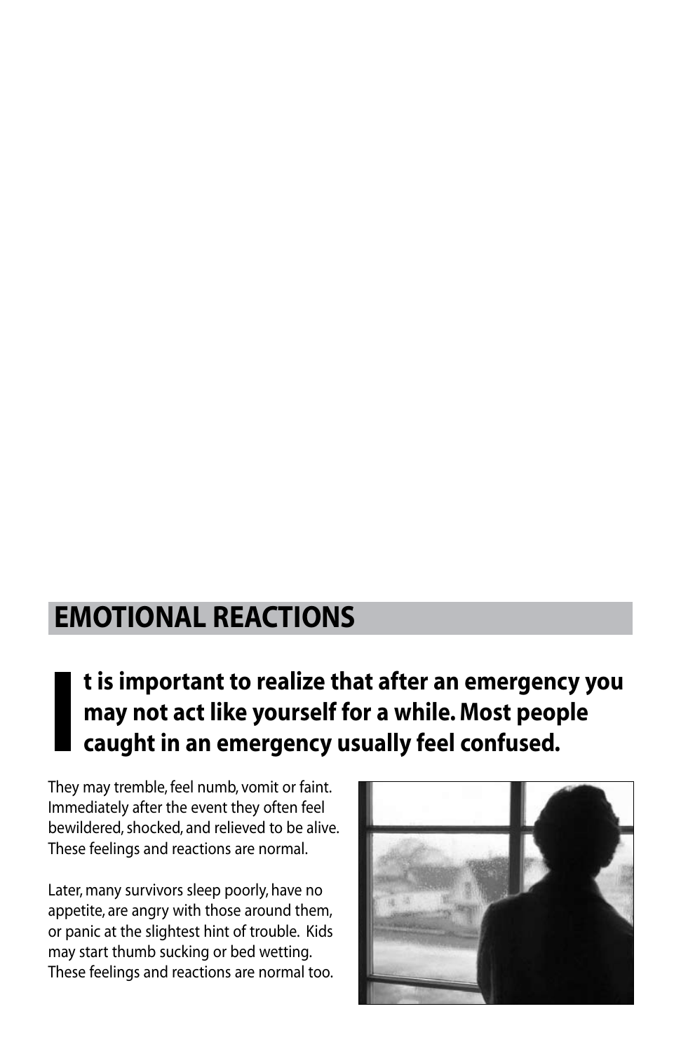### **Emotional reactions**

### **I t is important to realize that after an emergency you may not act like yourself for a while. Most people caught in an emergency usually feel confused.**

They may tremble, feel numb, vomit or faint. Immediately after the event they often feel bewildered, shocked, and relieved to be alive. These feelings and reactions are normal.

Later, many survivors sleep poorly, have no appetite, are angry with those around them, or panic at the slightest hint of trouble. Kids may start thumb sucking or bed wetting. These feelings and reactions are normal too.

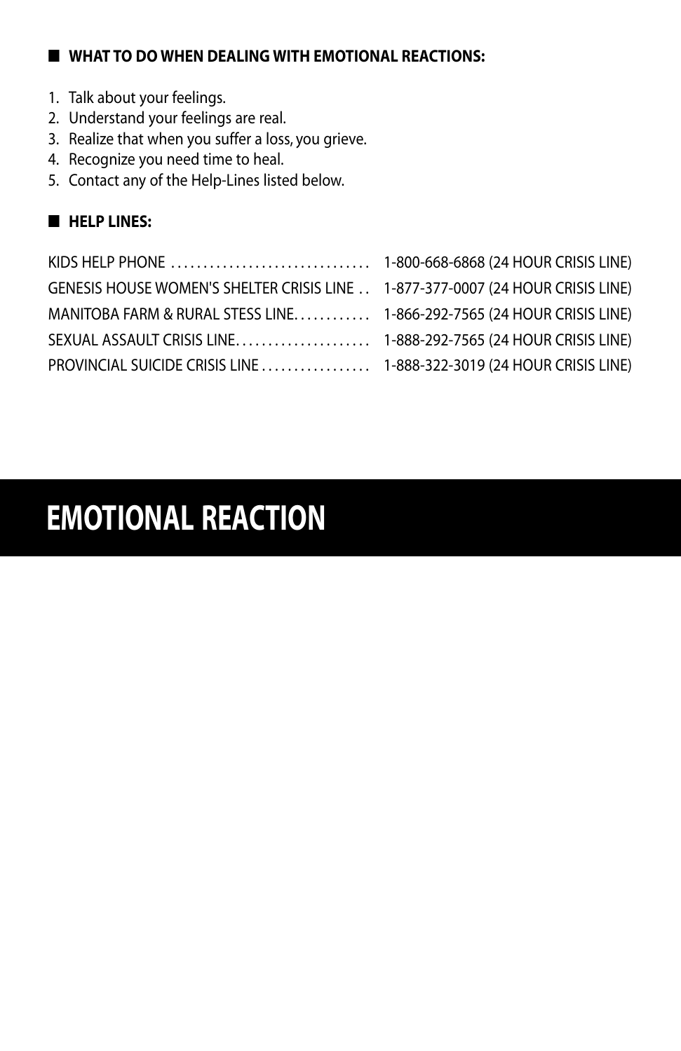#### ■ **What to do when dealing with emotional reactions:**

- 1. Talk about your feelings.
- 2. Understand your feelings are real.
- 3. Realize that when you suffer a loss, you grieve.
- 4. Recognize you need time to heal.
- 5. Contact any of the Help-Lines listed below.

### ■ **Help Lines:**

| GENESIS HOUSE WOMEN'S SHELTER CRISIS LINE 1-877-377-0007 (24 HOUR CRISIS LINE) |  |
|--------------------------------------------------------------------------------|--|
| MANITOBA FARM & RURAL STESS LINE 1-866-292-7565 (24 HOUR CRISIS LINE)          |  |
|                                                                                |  |
| PROVINCIAL SUICIDE CRISIS LINE  1-888-322-3019 (24 HOUR CRISIS LINE)           |  |

# **EMOTIONAL REACTION**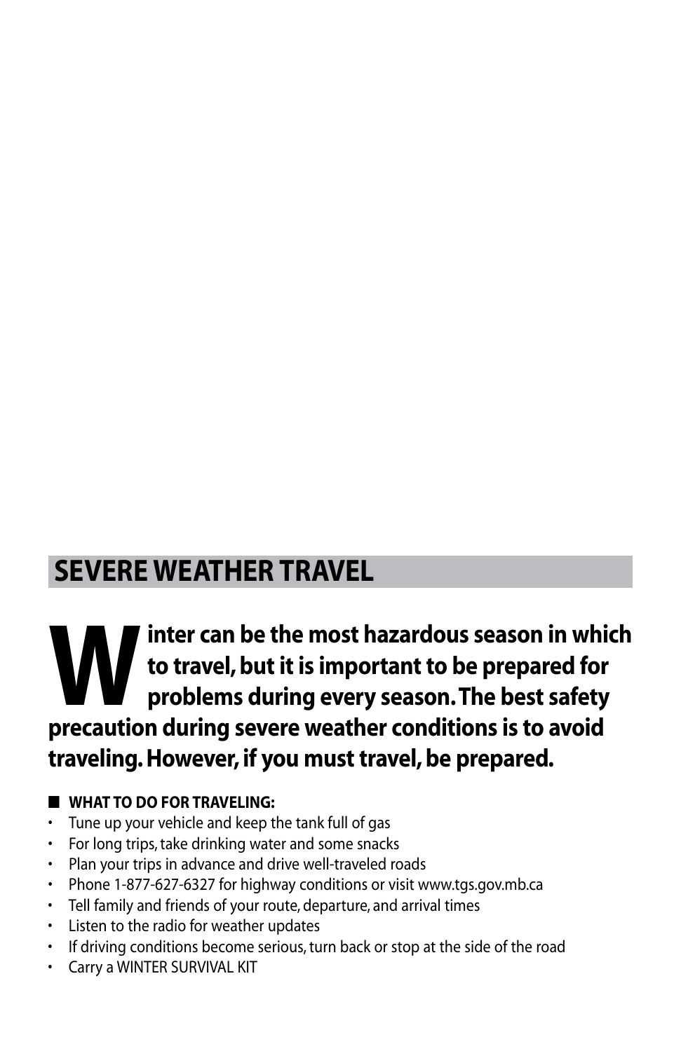### **SEVERE WEATHER TRAVEL**

### Inter can be the most hazardous season in which<br>to travel, but it is important to be prepared for<br>procaution during sovere weather conditions is to avoid **to travel, but it is important to be prepared for problems during every season. The best safety precaution during severe weather conditions is to avoid traveling. However, if you must travel, be prepared.**

### ■ **What to do for traveling:**

- • Tune up your vehicle and keep the tank full of gas
- For long trips, take drinking water and some snacks
- • Plan your trips in advance and drive well-traveled roads
- Phone 1-877-627-6327 for highway conditions or visit www.tgs.gov.mb.ca
- • Tell family and friends of your route, departure, and arrival times
- • Listen to the radio for weather updates
- If driving conditions become serious, turn back or stop at the side of the road
- • Carry a WINTER SURVIVAL KIT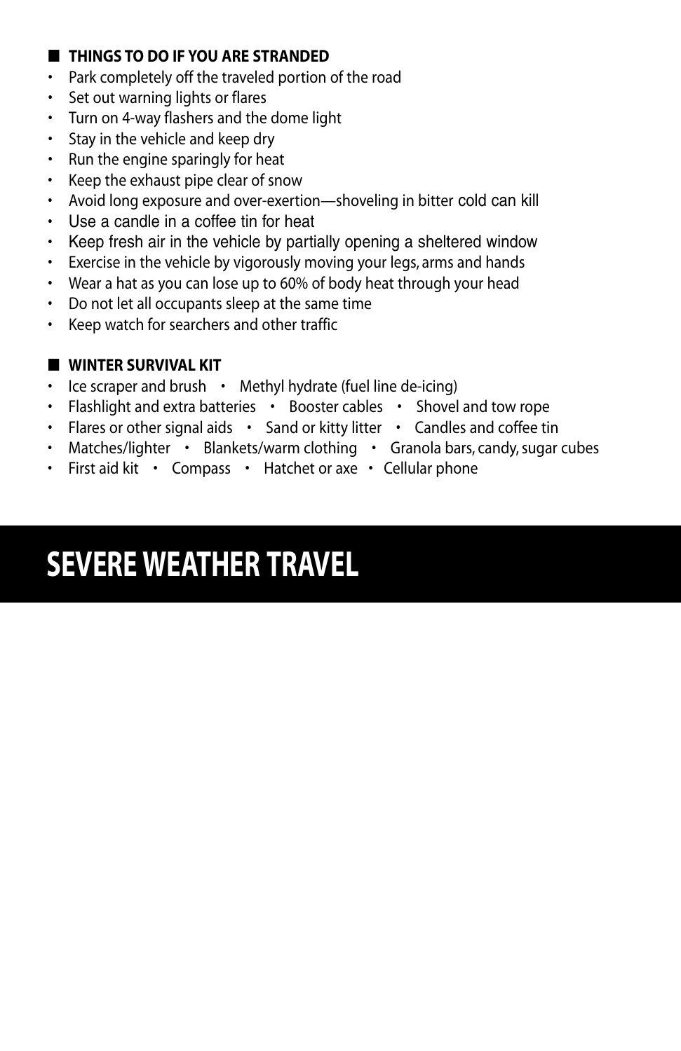#### ■ **THINGS TO DO IF YOU ARE STRANDED**

- • Park completely off the traveled portion of the road
- • Set out warning lights or flares
- • Turn on 4-way flashers and the dome light
- • Stay in the vehicle and keep dry
- • Run the engine sparingly for heat
- • Keep the exhaust pipe clear of snow
- • Avoid long exposure and over-exertion—shoveling in bitter cold can kill
- • Use a candle in a coffee tin for heat
- Keep fresh air in the vehicle by partially opening a sheltered window
- Exercise in the vehicle by vigorously moving your legs, arms and hands
- Wear a hat as you can lose up to 60% of body heat through your head
- • Do not let all occupants sleep at the same time
- • Keep watch for searchers and other traffic

#### ■ **Winter Survival Kit**

- Ice scraper and brush Methyl hydrate (fuel line de-icing)
- Flashlight and extra batteries Booster cables Shovel and tow rope
- Flares or other signal aids Sand or kitty litter Candles and coffee tin
- Matches/lighter Blankets/warm clothing Granola bars, candy, sugar cubes
- First aid kit Compass Hatchet or axe Cellular phone

# **SEVERE WEATHER TRAVEL**

- 
- 
-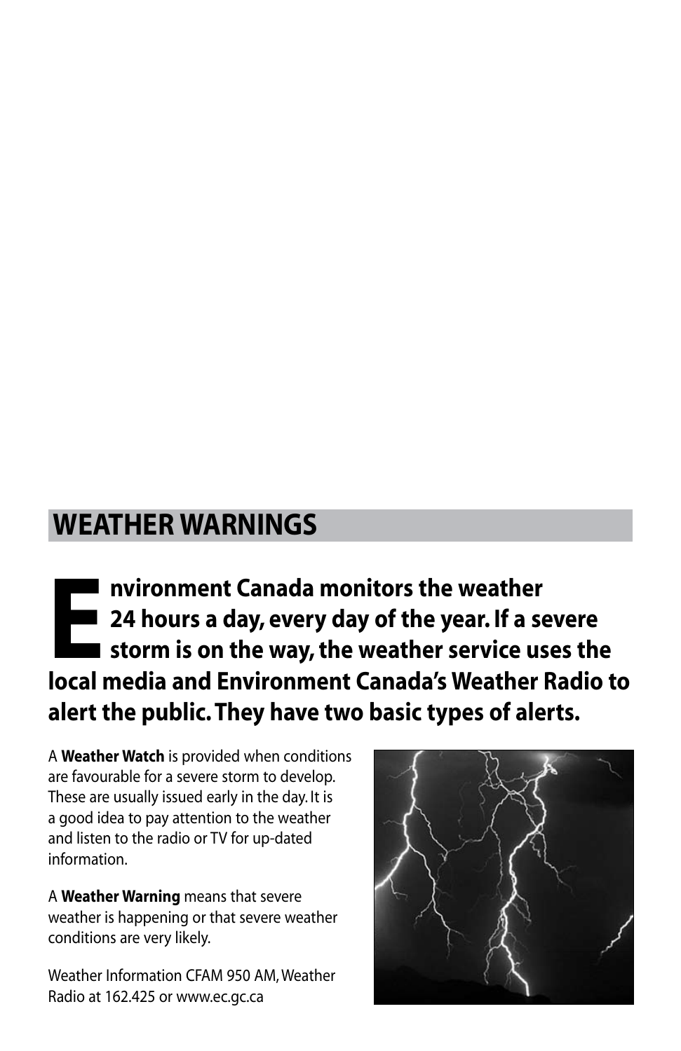### **Weather Warnings**

**EXECUTE:** nvironment Canada monitors the weather<br> **EXECUTE:** 24 hours a day, every day of the year. If a set<br>
storm is on the way, the weather service us<br>
local modia and Environment Canada's Woather. **24 hours a day, every day of the year. If a severe storm is on the way, the weather service uses the local media and Environment Canada's Weather Radio to alert the public. They have two basic types of alerts.**

A **Weather Watch** is provided when conditions are favourable for a severe storm to develop. These are usually issued early in the day. It is a good idea to pay attention to the weather and listen to the radio or TV for up-dated information.

A **Weather Warning** means that severe weather is happening or that severe weather conditions are very likely.

Weather Information CFAM 950 AM, Weather Radio at 162.425 or www.ec.gc.ca

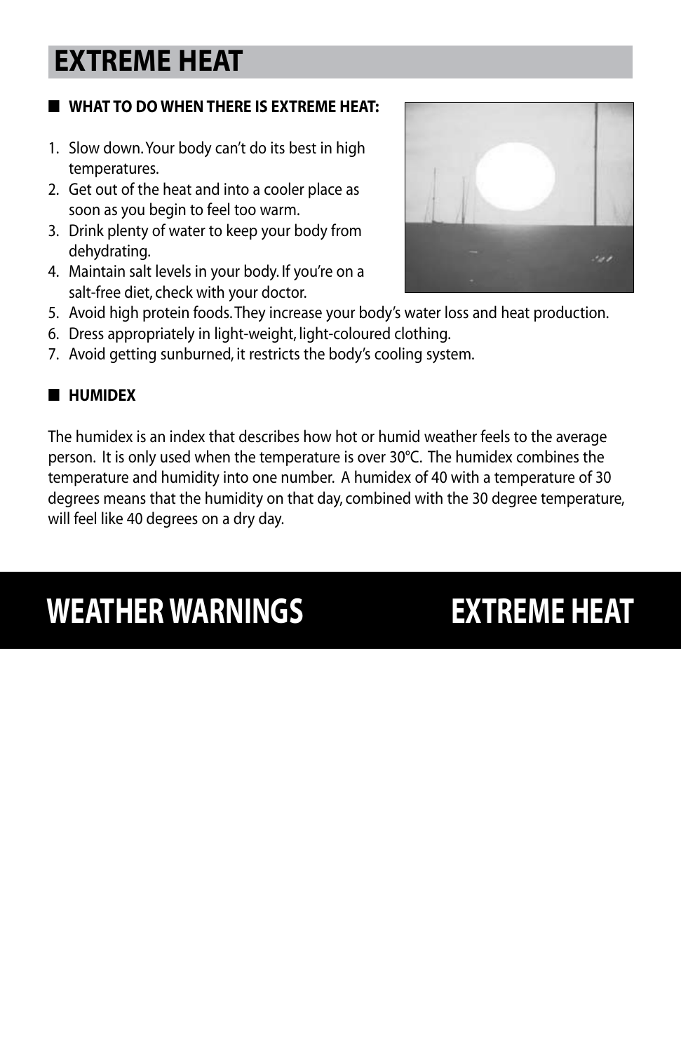### **EXTREME HEAT**

### ■ **What to do when there is extreme heat:**

- 1. Slow down. Your body can't do its best in high temperatures.
- 2. Get out of the heat and into a cooler place as soon as you begin to feel too warm.
- 3. Drink plenty of water to keep your body from dehydrating.
- 4. Maintain salt levels in your body. If you're on a salt-free diet, check with your doctor.



- 5. Avoid high protein foods. They increase your body's water loss and heat production.
- 6. Dress appropriately in light-weight, light-coloured clothing.
- 7. Avoid getting sunburned, it restricts the body's cooling system.

#### ■ **Humidex**

The humidex is an index that describes how hot or humid weather feels to the average person. It is only used when the temperature is over 30°C. The humidex combines the temperature and humidity into one number. A humidex of 40 with a temperature of 30 degrees means that the humidity on that day, combined with the 30 degree temperature, will feel like 40 degrees on a dry day.

# **WEATHER WARNINGS EXTREME HEAT**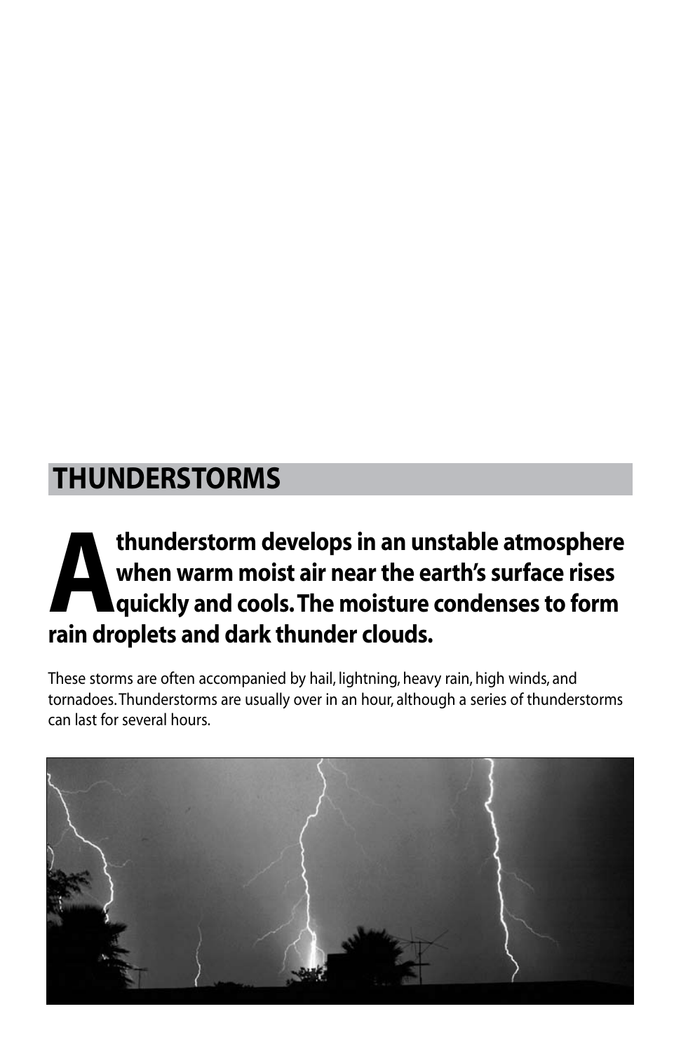### **Thunderstorms**

### **Athunderstorm develops in an unstable atmosphere**<br>when warm moist air near the earth's surface rises<br>quickly and cools. The moisture condenses to form<br>rain droplets and dark thunder clouds **when warm moist air near the earth's surface rises quickly and cools. The moisture condenses to form rain droplets and dark thunder clouds.**

These storms are often accompanied by hail, lightning, heavy rain, high winds, and tornadoes. Thunderstorms are usually over in an hour, although a series of thunderstorms can last for several hours.

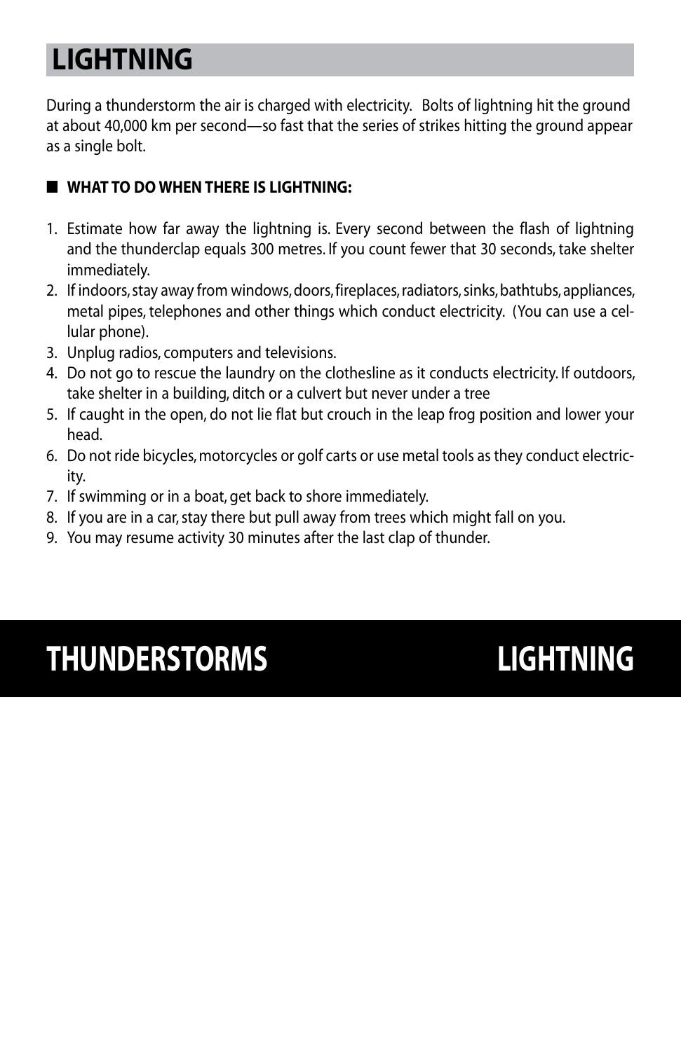# **Lightning**

During a thunderstorm the air is charged with electricity. Bolts of lightning hit the ground at about 40,000 km per second—so fast that the series of strikes hitting the ground appear as a single bolt.

### ■ **What to do when there is lightning:**

- 1. Estimate how far away the lightning is. Every second between the flash of lightning and the thunderclap equals 300 metres. If you count fewer that 30 seconds, take shelter immediately.
- 2. If indoors, stay away from windows, doors, fireplaces, radiators, sinks, bathtubs, appliances, metal pipes, telephones and other things which conduct electricity. (You can use a cellular phone).
- 3. Unplug radios, computers and televisions.
- 4. Do not go to rescue the laundry on the clothesline as it conducts electricity. If outdoors, take shelter in a building, ditch or a culvert but never under a tree
- 5. If caught in the open, do not lie flat but crouch in the leap frog position and lower your head.
- 6. Do not ride bicycles, motorcycles or golf carts or use metal tools as they conduct electricity.
- 7. If swimming or in a boat, get back to shore immediately.
- 8. If you are in a car, stay there but pull away from trees which might fall on you.
- 9. You may resume activity 30 minutes after the last clap of thunder.

# **THUNDERSTORMS LIGHTNING**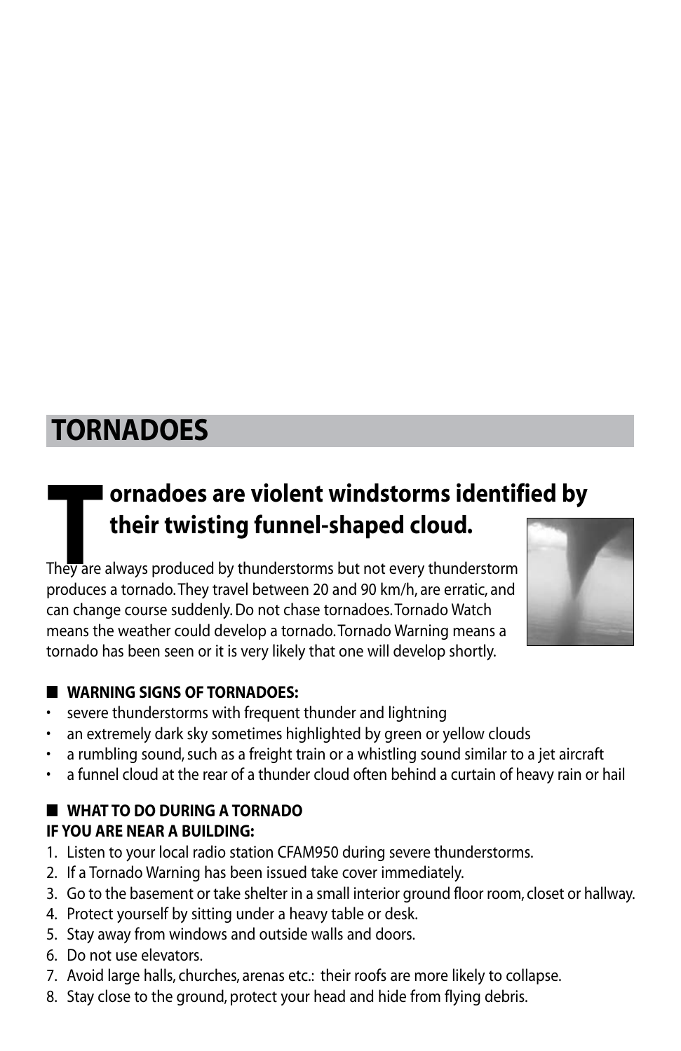### **Tornadoes**

### **T ornadoes are violent windstorms identified by their twisting funnel-shaped cloud.**

They are always produced by thunderstorms but not every thunderstorm produces a tornado. They travel between 20 and 90 km/h, are erratic, and can change course suddenly. Do not chase tornadoes. Tornado Watch means the weather could develop a tornado. Tornado Warning means a tornado has been seen or it is very likely that one will develop shortly.



#### ■ **Warning signs of tornadoes:**

- severe thunderstorms with frequent thunder and lightning
- an extremely dark sky sometimes highlighted by green or yellow clouds
- a rumbling sound, such as a freight train or a whistling sound similar to a jet aircraft
- a funnel cloud at the rear of a thunder cloud often behind a curtain of heavy rain or hail

#### ■ **What to do during a tornado if you are near a building:**

- 1. Listen to your local radio station CFAM950 during severe thunderstorms.
- 2. If a Tornado Warning has been issued take cover immediately.
- 3. Go to the basement or take shelter in a small interior ground floor room, closet or hallway.
- 4. Protect yourself by sitting under a heavy table or desk.
- 5. Stay away from windows and outside walls and doors.
- 6. Do not use elevators.
- 7. Avoid large halls, churches, arenas etc.: their roofs are more likely to collapse.
- 8. Stay close to the ground, protect your head and hide from flying debris.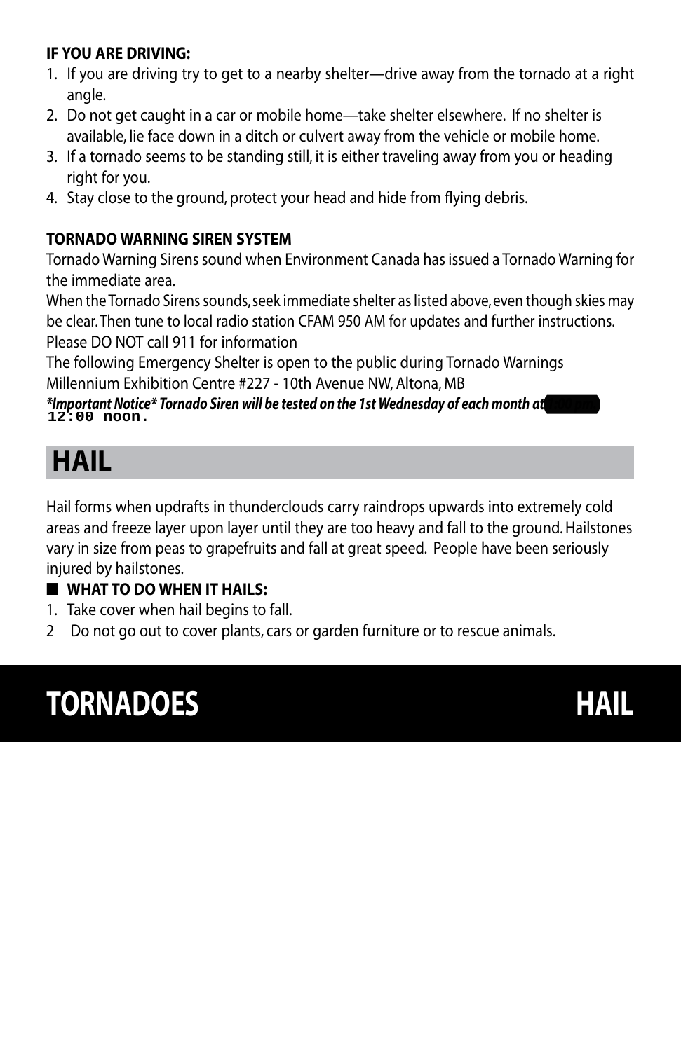#### **If you are driving:**

- 1. If you are driving try to get to a nearby shelter—drive away from the tornado at a right angle.
- 2. Do not get caught in a car or mobile home—take shelter elsewhere. If no shelter is available, lie face down in a ditch or culvert away from the vehicle or mobile home.
- 3. If a tornado seems to be standing still, it is either traveling away from you or heading right for you.
- 4. Stay close to the ground, protect your head and hide from flying debris.

### **Tornado Warning Siren System**

Tornado Warning Sirens sound when Environment Canada has issued a Tornado Warning for the immediate area.

When the Tornado Sirens sounds, seek immediate shelter as listed above, even though skies may be clear. Then tune to local radio station CFAM 950 AM for updates and further instructions. Please DO NOT call 911 for information

The following Emergency Shelter is open to the public during Tornado Warnings Millennium Exhibition Centre #227 - 10th Avenue NW, Altona, MB

#### *\*Important Notice\* Tornado Siren will be tested on the 1st Wednesday of each month at 1:00 pm.* **12:00 noon.**

## **Hail**

Hail forms when updrafts in thunderclouds carry raindrops upwards into extremely cold areas and freeze layer upon layer until they are too heavy and fall to the ground. Hailstones vary in size from peas to grapefruits and fall at great speed. People have been seriously injured by hailstones.

#### ■ **What to do when it hails:**

- 1. Take cover when hail begins to fall.
- 2 Do not go out to cover plants, cars or garden furniture or to rescue animals.

# **TORNADOES HAIL**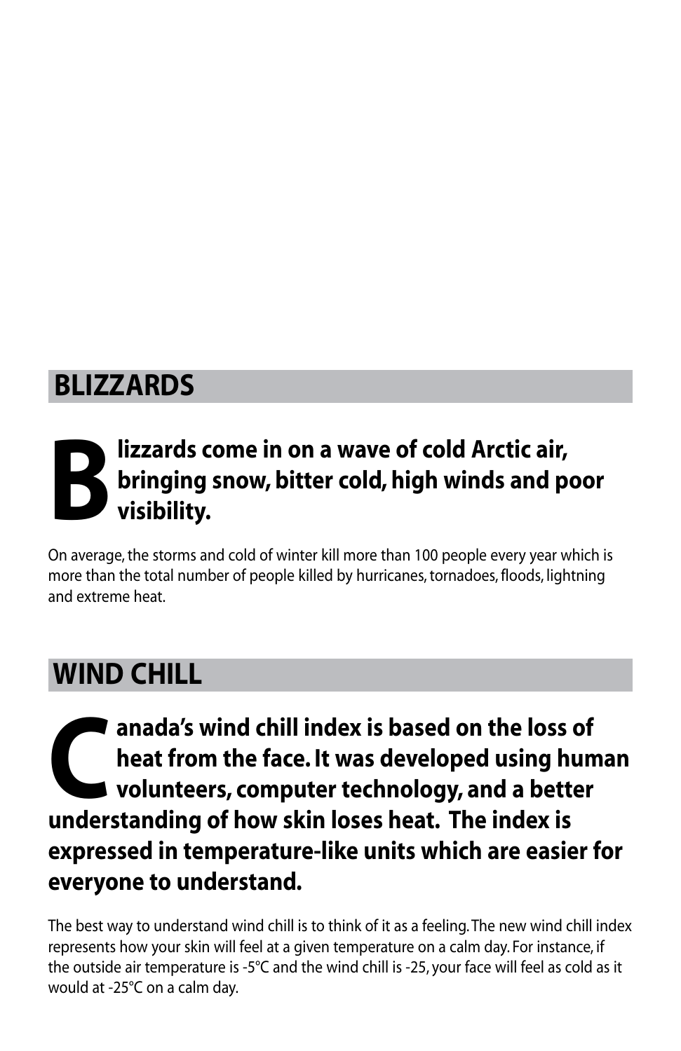### **Blizzards**

# **Blizzards come in on a wave of cold Arctic air,**<br>**Blinging snow, bitter cold, high winds and polynomials**<br>**Blinding bringing snow, bitter cold, high winds and poor visibility.**

On average, the storms and cold of winter kill more than 100 people every year which is more than the total number of people killed by hurricanes, tornadoes, floods, lightning and extreme heat.

### **Wind Chill**

anada's wind chill index is based on the loss of<br>heat from the face. It was developed using hum<br>volunteers, computer technology, and a better<br>understanding of how skip loses heat. The index is **heat from the face. It was developed using human volunteers, computer technology, and a better understanding of how skin loses heat. The index is expressed in temperature-like units which are easier for everyone to understand.**

The best way to understand wind chill is to think of it as a feeling.The new wind chill index represents how your skin will feel at a given temperature on a calm day. For instance, if the outside air temperature is -5°C and the wind chill is -25, your face will feel as cold as it would at -25°C on a calm day.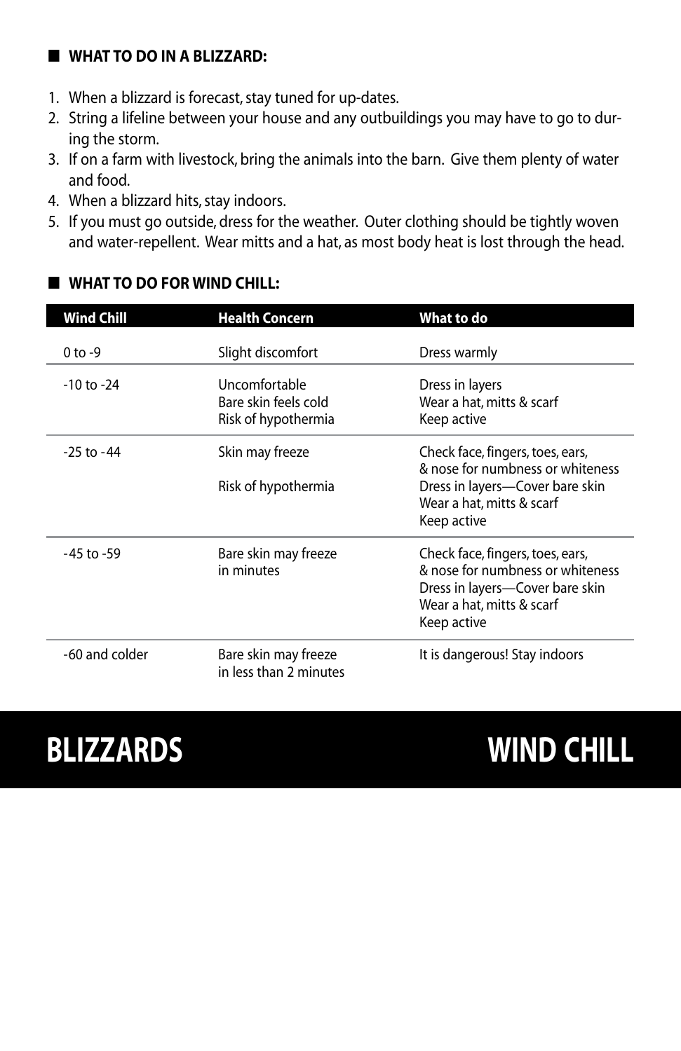#### ■ **What to do in a blizzard:**

- 1. When a blizzard is forecast, stay tuned for up-dates.
- 2. String a lifeline between your house and any outbuildings you may have to go to during the storm.
- 3. If on a farm with livestock, bring the animals into the barn. Give them plenty of water and food.
- 4. When a blizzard hits, stay indoors.
- 5. If you must go outside, dress for the weather. Outer clothing should be tightly woven and water-repellent. Wear mitts and a hat, as most body heat is lost through the head.

#### ■ **What to do for wind chill:**

| <b>Wind Chill</b> | <b>Health Concern</b>                                        | What to do                                                                                                                                          |
|-------------------|--------------------------------------------------------------|-----------------------------------------------------------------------------------------------------------------------------------------------------|
| $0$ to $-9$       | Slight discomfort                                            | Dress warmly                                                                                                                                        |
| $-10$ to $-24$    | Uncomfortable<br>Bare skin feels cold<br>Risk of hypothermia | Dress in layers<br>Wear a hat, mitts & scarf<br>Keep active                                                                                         |
| $-25$ to $-44$    | Skin may freeze<br>Risk of hypothermia                       | Check face, fingers, toes, ears,<br>& nose for numbness or whiteness<br>Dress in layers—Cover bare skin<br>Wear a hat, mitts & scarf<br>Keep active |
| $-45$ to $-59$    | Bare skin may freeze<br>in minutes                           | Check face, fingers, toes, ears,<br>& nose for numbness or whiteness<br>Dress in layers—Cover bare skin<br>Wear a hat, mitts & scarf<br>Keep active |
| -60 and colder    | Bare skin may freeze<br>in less than 2 minutes               | It is dangerous! Stay indoors                                                                                                                       |

# **BLIZZARDS WIND CHILL**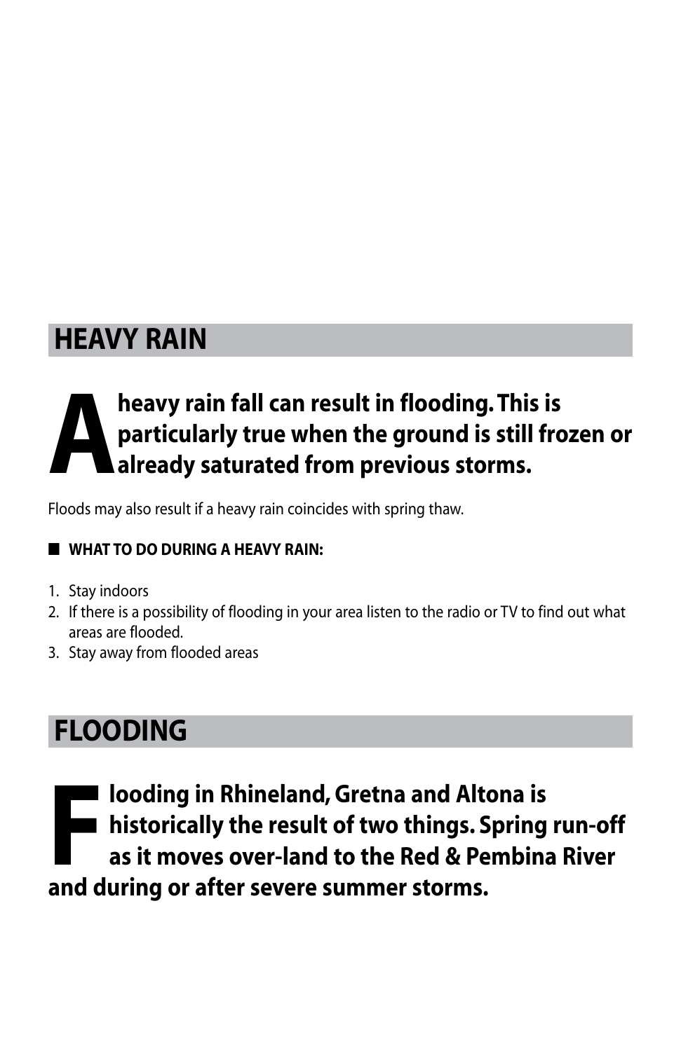### **Heavy Rain**

# **Aheavy rain fall can result in flooding. This is<br>particularly true when the ground is still from<br>already saturated from previous storms. particularly true when the ground is still frozen or already saturated from previous storms.**

Floods may also result if a heavy rain coincides with spring thaw.

### ■ **What to do during a heavy rain:**

- 1. Stay indoors
- 2. If there is a possibility of flooding in your area listen to the radio or TV to find out what areas are flooded.
- 3. Stay away from flooded areas

### **Flooding**

**Flooding in Rhineland, Gretna and Altona is**<br>**Flooding in Rhineland, Gretna and Altona is**<br>**Altonia is it moves over-land to the Red & Pembina<br>and during or after sovere summer sterms historically the result of two things. Spring run-off as it moves over-land to the Red & Pembina River and during or after severe summer storms.**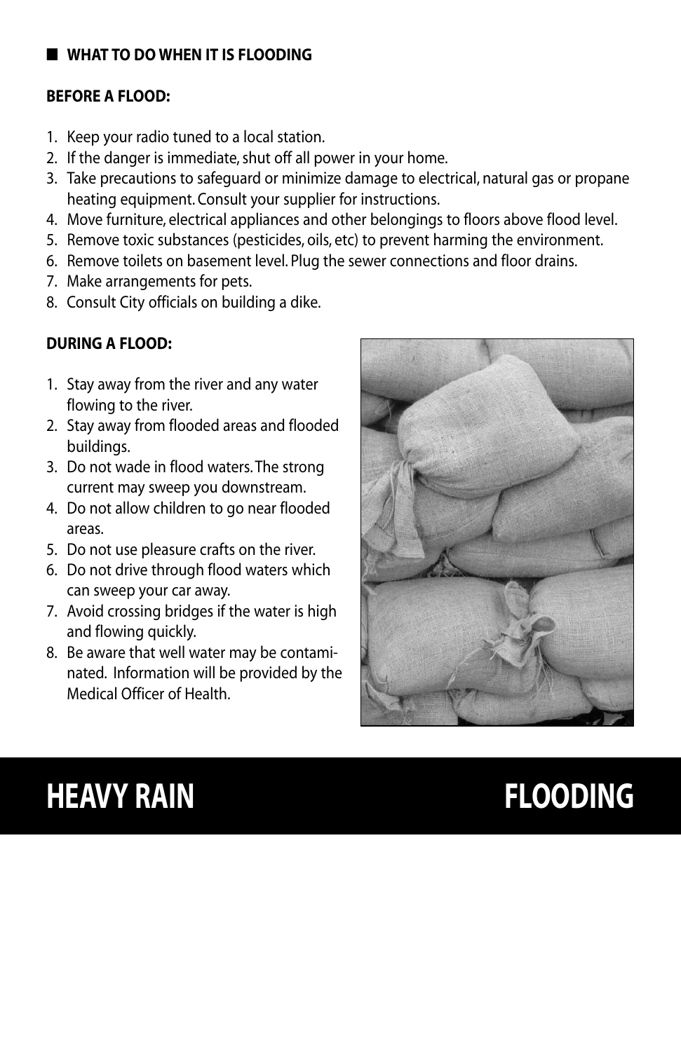#### ■ **What to do when it is flooding**

#### **Before a Flood:**

- 1. Keep your radio tuned to a local station.
- 2. If the danger is immediate, shut off all power in your home.
- 3. Take precautions to safeguard or minimize damage to electrical, natural gas or propane heating equipment. Consult your supplier for instructions.
- 4. Move furniture, electrical appliances and other belongings to floors above flood level.
- 5. Remove toxic substances (pesticides, oils, etc) to prevent harming the environment.
- 6. Remove toilets on basement level. Plug the sewer connections and floor drains.
- 7. Make arrangements for pets.
- 8. Consult City officials on building a dike.

### **During a flood:**

- 1. Stay away from the river and any water flowing to the river.
- 2. Stay away from flooded areas and flooded buildings.
- 3. Do not wade in flood waters. The strong current may sweep you downstream.
- 4. Do not allow children to go near flooded areas.
- 5. Do not use pleasure crafts on the river.
- 6. Do not drive through flood waters which can sweep your car away.
- 7. Avoid crossing bridges if the water is high and flowing quickly.
- 8. Be aware that well water may be contaminated. Information will be provided by the Medical Officer of Health.



# **HEAVY RAIN FLOODING**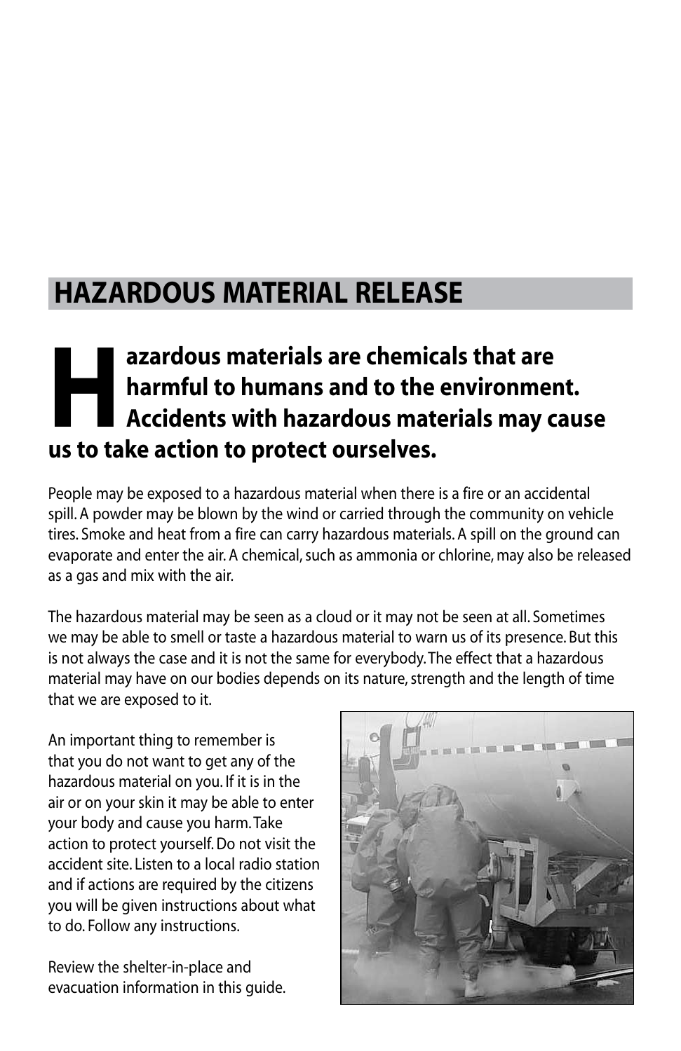### **Hazardous material release**

### **Here is a zardous materials are chemicals that are<br>
<b>Here is a larmful to humans and to the environmer<br>
Accidents with hazardous materials may c<br>
Us to take action to protect ourselves harmful to humans and to the environment. Accidents with hazardous materials may cause us to take action to protect ourselves.**

People may be exposed to a hazardous material when there is a fire or an accidental spill. A powder may be blown by the wind or carried through the community on vehicle tires. Smoke and heat from a fire can carry hazardous materials. A spill on the ground can evaporate and enter the air. A chemical, such as ammonia or chlorine, may also be released as a gas and mix with the air.

The hazardous material may be seen as a cloud or it may not be seen at all. Sometimes we may be able to smell or taste a hazardous material to warn us of its presence. But this is not always the case and it is not the same for everybody. The effect that a hazardous material may have on our bodies depends on its nature, strength and the length of time that we are exposed to it.

An important thing to remember is that you do not want to get any of the hazardous material on you. If it is in the air or on your skin it may be able to enter your body and cause you harm. Take action to protect yourself. Do not visit the accident site. Listen to a local radio station and if actions are required by the citizens you will be given instructions about what to do. Follow any instructions.

Review the shelter-in-place and evacuation information in this guide.

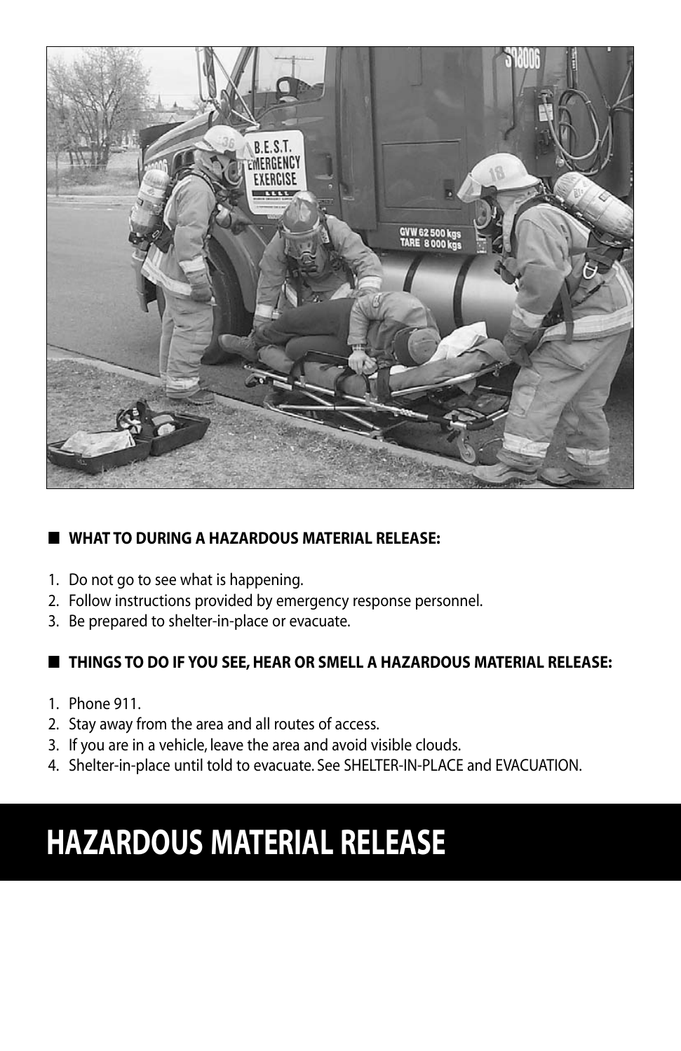

### ■ **What to during a hazardous material release:**

- 1. Do not go to see what is happening.
- 2. Follow instructions provided by emergency response personnel.
- 3. Be prepared to shelter-in-place or evacuate.

#### ■ **Things to do if you see, hear or smell a hazardous material release:**

- 1. Phone 911.
- 2. Stay away from the area and all routes of access.
- 3. If you are in a vehicle, leave the area and avoid visible clouds.
- 4. Shelter-in-place until told to evacuate. See SHELTER-IN-PLACE and EVACUATION.

# **HAZARDOUS MATERIAL RELEASE**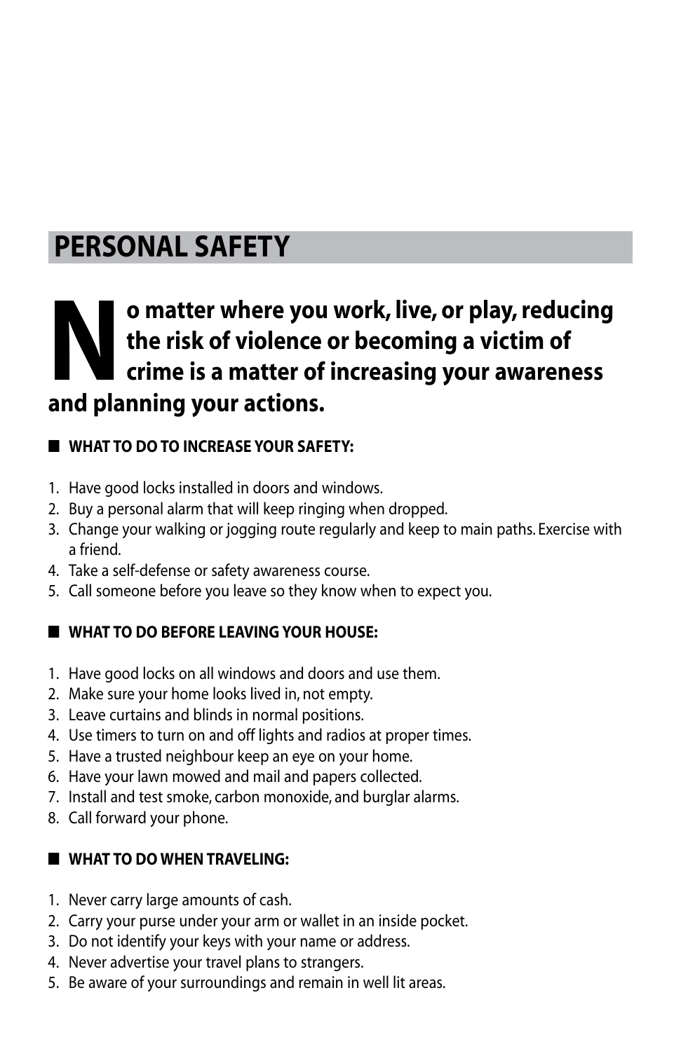### **Personal safety**

### **No matter where you work, live, or play, reducing<br>the risk of violence or becoming a victim of<br>crime is a matter of increasing your awareness<br>and planning your actions. the risk of violence or becoming a victim of crime is a matter of increasing your awareness and planning your actions.**

### ■ **What to do to increase your safety:**

- 1. Have good locks installed in doors and windows.
- 2. Buy a personal alarm that will keep ringing when dropped.
- 3. Change your walking or jogging route regularly and keep to main paths. Exercise with a friend.
- 4. Take a self-defense or safety awareness course.
- 5. Call someone before you leave so they know when to expect you.

### ■ **What to do before leaving your house:**

- 1. Have good locks on all windows and doors and use them.
- 2. Make sure your home looks lived in, not empty.
- 3. Leave curtains and blinds in normal positions.
- 4. Use timers to turn on and off lights and radios at proper times.
- 5. Have a trusted neighbour keep an eye on your home.
- 6. Have your lawn mowed and mail and papers collected.
- 7. Install and test smoke, carbon monoxide, and burglar alarms.
- 8. Call forward your phone.

### ■ **What to do when traveling:**

- 1. Never carry large amounts of cash.
- 2. Carry your purse under your arm or wallet in an inside pocket.
- 3. Do not identify your keys with your name or address.
- 4. Never advertise your travel plans to strangers.
- 5. Be aware of your surroundings and remain in well lit areas.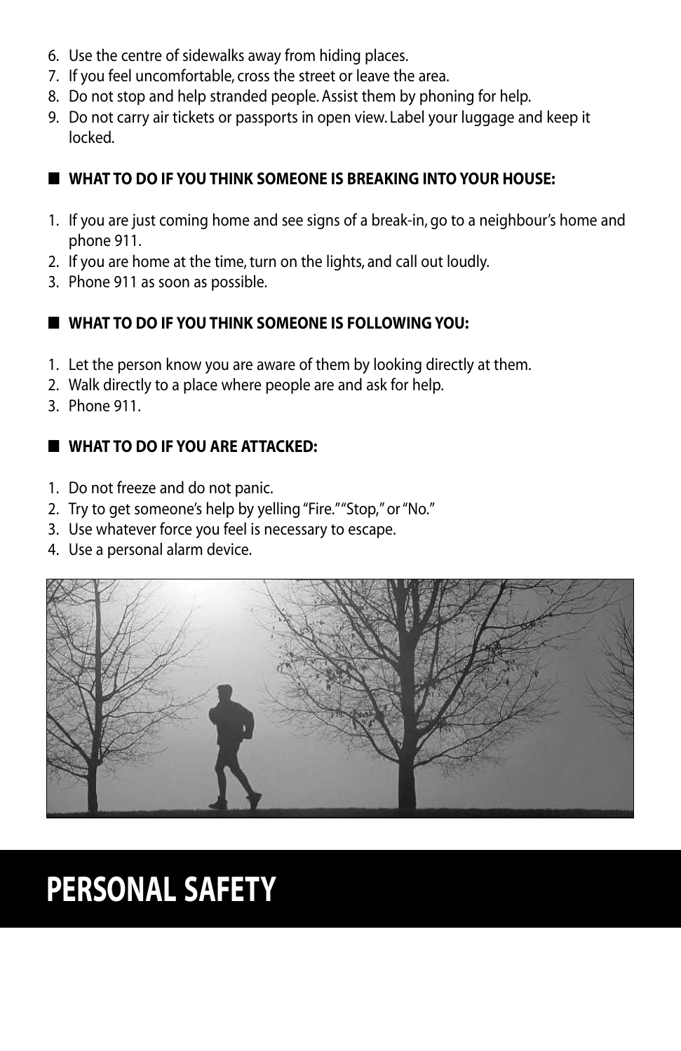- 6. Use the centre of sidewalks away from hiding places.
- 7. If you feel uncomfortable, cross the street or leave the area.
- 8. Do not stop and help stranded people. Assist them by phoning for help.
- 9. Do not carry air tickets or passports in open view. Label your luggage and keep it locked.

### ■ **What to do if you think someone is breaking into your house:**

- 1. If you are just coming home and see signs of a break-in, go to a neighbour's home and phone 911.
- 2. If you are home at the time, turn on the lights, and call out loudly.
- 3. Phone 911 as soon as possible.

#### ■ **What to do if you think someone is following you:**

- 1. Let the person know you are aware of them by looking directly at them.
- 2. Walk directly to a place where people are and ask for help.
- 3. Phone 911.

#### ■ **What to do if you are attacked:**

- 1. Do not freeze and do not panic.
- 2. Try to get someone's help by yelling "Fire." "Stop," or "No."
- 3. Use whatever force you feel is necessary to escape.
- 4. Use a personal alarm device.



# **PERSONAL SAFETY**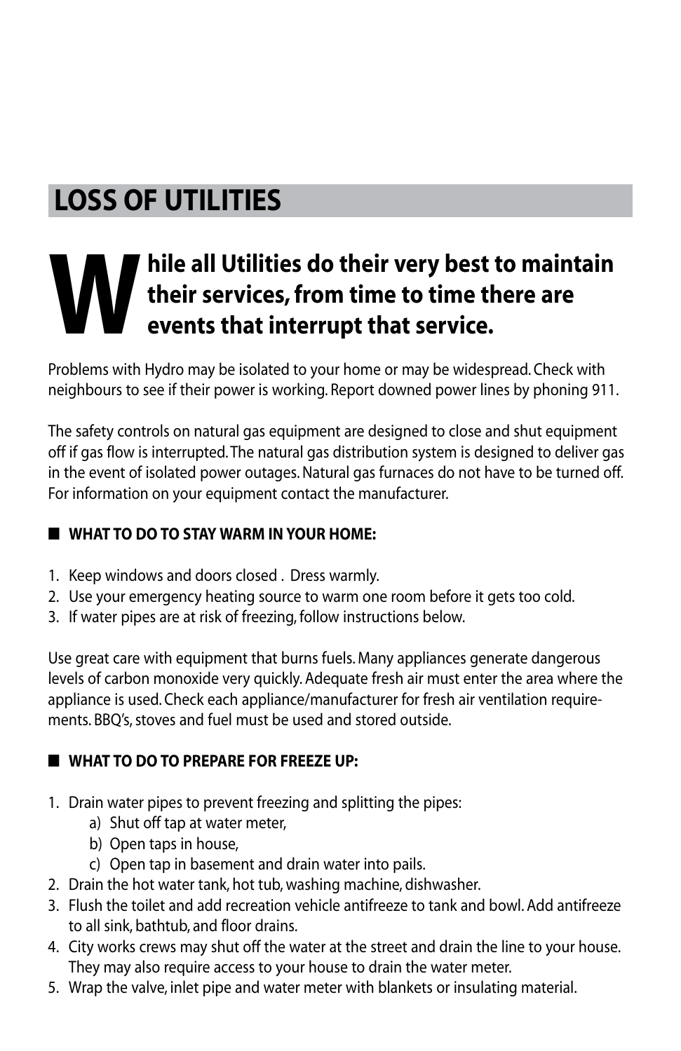## **Loss of utilities**

# **W** hile all Utilities do their very best to maintain<br>their services, from time to time there are<br>events that interrupt that service. **their services, from time to time there are events that interrupt that service.**

Problems with Hydro may be isolated to your home or may be widespread. Check with neighbours to see if their power is working. Report downed power lines by phoning 911.

The safety controls on natural gas equipment are designed to close and shut equipment off if gas flow is interrupted. The natural gas distribution system is designed to deliver gas in the event of isolated power outages. Natural gas furnaces do not have to be turned off. For information on your equipment contact the manufacturer.

### ■ **What to do to stay warm in your home:**

- 1. Keep windows and doors closed . Dress warmly.
- 2. Use your emergency heating source to warm one room before it gets too cold.
- 3. If water pipes are at risk of freezing, follow instructions below.

Use great care with equipment that burns fuels. Many appliances generate dangerous levels of carbon monoxide very quickly. Adequate fresh air must enter the area where the appliance is used. Check each appliance/manufacturer for fresh air ventilation requirements. BBQ's, stoves and fuel must be used and stored outside.

### ■ **What to do to prepare for freeze up:**

- 1. Drain water pipes to prevent freezing and splitting the pipes:
	- a) Shut off tap at water meter,
	- b) Open taps in house,
	- c) Open tap in basement and drain water into pails.
- 2. Drain the hot water tank, hot tub, washing machine, dishwasher.
- 3. Flush the toilet and add recreation vehicle antifreeze to tank and bowl. Add antifreeze to all sink, bathtub, and floor drains.
- 4. City works crews may shut off the water at the street and drain the line to your house. They may also require access to your house to drain the water meter.
- 5. Wrap the valve, inlet pipe and water meter with blankets or insulating material.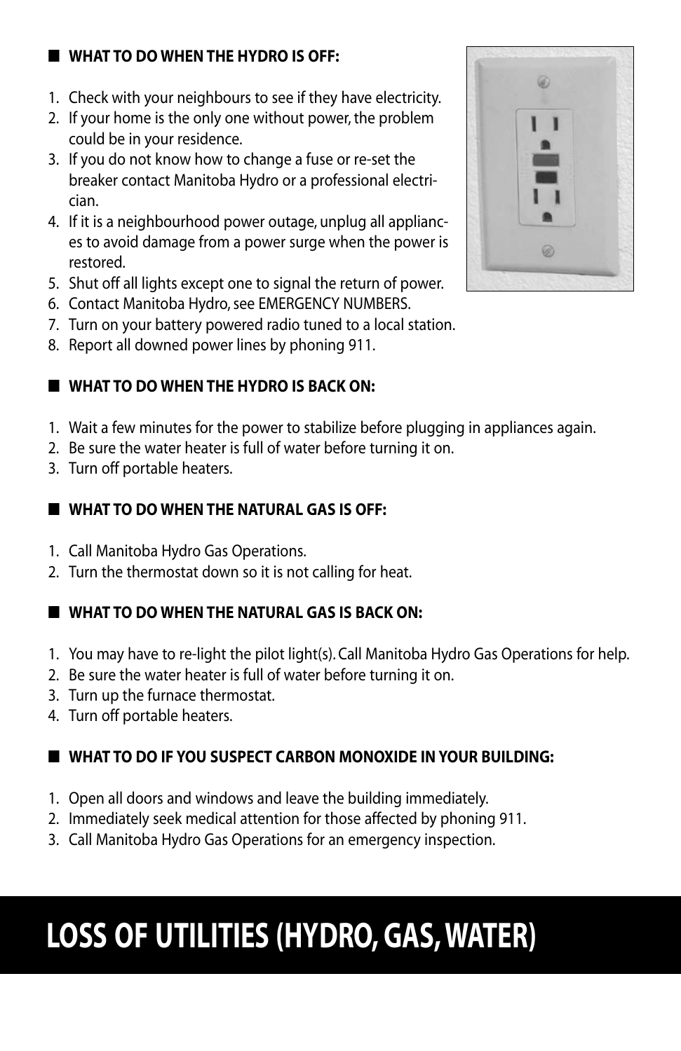### ■ **What to do when the Hydro is off:**

- 1. Check with your neighbours to see if they have electricity.
- 2. If your home is the only one without power, the problem could be in your residence.
- 3. If you do not know how to change a fuse or re-set the breaker contact Manitoba Hydro or a professional electrician.
- 4. If it is a neighbourhood power outage, unplug all appliances to avoid damage from a power surge when the power is restored.
- 5. Shut off all lights except one to signal the return of power.
- 6. Contact Manitoba Hydro, see EMERGENCY NUMBERS.
- 7. Turn on your battery powered radio tuned to a local station.
- 8. Report all downed power lines by phoning 911.

#### ■ **What to do when the Hydro is back on:**

- 1. Wait a few minutes for the power to stabilize before plugging in appliances again.
- 2. Be sure the water heater is full of water before turning it on.
- 3. Turn off portable heaters.

#### ■ **What to do when the Natural Gas is off:**

- 1. Call Manitoba Hydro Gas Operations.
- 2. Turn the thermostat down so it is not calling for heat.

### ■ **What to do when the Natural Gas is back on:**

- 1. You may have to re-light the pilot light(s). Call Manitoba Hydro Gas Operations for help.
- 2. Be sure the water heater is full of water before turning it on.
- 3. Turn up the furnace thermostat.
- 4. Turn off portable heaters.

### ■ **What to do if you suspect carbon monoxide in your building:**

- 1. Open all doors and windows and leave the building immediately.
- 2. Immediately seek medical attention for those affected by phoning 911.
- 3. Call Manitoba Hydro Gas Operations for an emergency inspection.

# **LOSS OF UTILITIES (HYDRO, GAS, WATER)**

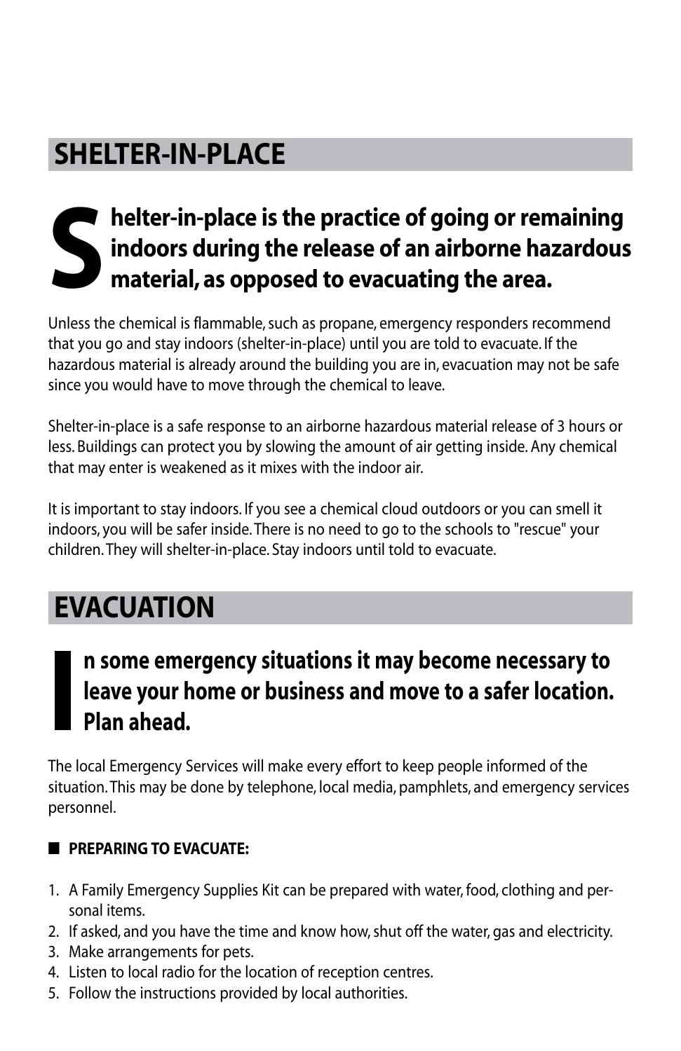### **Shelter-in-place**

# **S** helter-in-place is the practice of going or remaining indoors during the release of an airborne hazardous material, as opposed to evacuating the area. **indoors during the release of an airborne hazardous material, as opposed to evacuating the area.**

Unless the chemical is flammable, such as propane, emergency responders recommend that you go and stay indoors (shelter-in-place) until you are told to evacuate. If the hazardous material is already around the building you are in, evacuation may not be safe since you would have to move through the chemical to leave.

Shelter-in-place is a safe response to an airborne hazardous material release of 3 hours or less. Buildings can protect you by slowing the amount of air getting inside. Any chemical that may enter is weakened as it mixes with the indoor air.

It is important to stay indoors. If you see a chemical cloud outdoors or you can smell it indoors, you will be safer inside. There is no need to go to the schools to "rescue" your children. They will shelter-in-place. Stay indoors until told to evacuate.

## **Evacuation**

**I**

### **n some emergency situations it may become necessary to leave your home or business and move to a safer location. Plan ahead.**

The local Emergency Services will make every effort to keep people informed of the situation. This may be done by telephone, local media, pamphlets, and emergency services personnel.

### ■ **Preparing to evacuate:**

- 1. A Family Emergency Supplies Kit can be prepared with water, food, clothing and personal items.
- 2. If asked, and you have the time and know how, shut off the water, gas and electricity.
- 3. Make arrangements for pets.
- 4. Listen to local radio for the location of reception centres.
- 5. Follow the instructions provided by local authorities.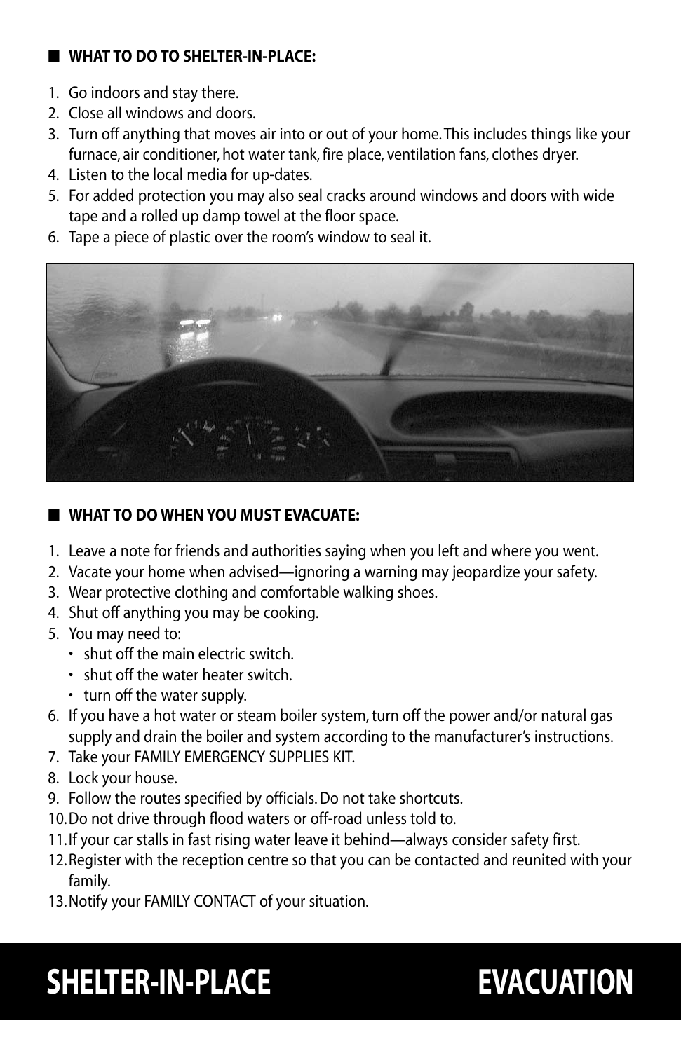#### ■ **What to do to shelter-in-place:**

- 1. Go indoors and stay there.
- 2. Close all windows and doors.
- 3. Turn off anything that moves air into or out of your home. This includes things like your furnace, air conditioner, hot water tank, fire place, ventilation fans, clothes dryer.
- 4. Listen to the local media for up-dates.
- 5. For added protection you may also seal cracks around windows and doors with wide tape and a rolled up damp towel at the floor space.
- 6. Tape a piece of plastic over the room's window to seal it.



#### ■ **What to do when you must evacuate:**

- 1. Leave a note for friends and authorities saying when you left and where you went.
- 2. Vacate your home when advised—ignoring a warning may jeopardize your safety.
- 3. Wear protective clothing and comfortable walking shoes.
- 4. Shut off anything you may be cooking.
- 5. You may need to:
	- shut off the main electric switch.
	- shut off the water heater switch.
	- turn off the water supply.
- 6. If you have a hot water or steam boiler system, turn off the power and/or natural gas supply and drain the boiler and system according to the manufacturer's instructions.
- 7. Take your FAMILY EMERGENCY SUPPLIES KIT.
- 8. Lock your house.
- 9. Follow the routes specified by officials. Do not take shortcuts.
- 10.Do not drive through flood waters or off-road unless told to.
- 11. If your car stalls in fast rising water leave it behind—always consider safety first.
- 12.Register with the reception centre so that you can be contacted and reunited with your family.
- 13.Notify your FAMILY CONTACT of your situation.

# **SHELTER-IN-PLACE EVACUATION**